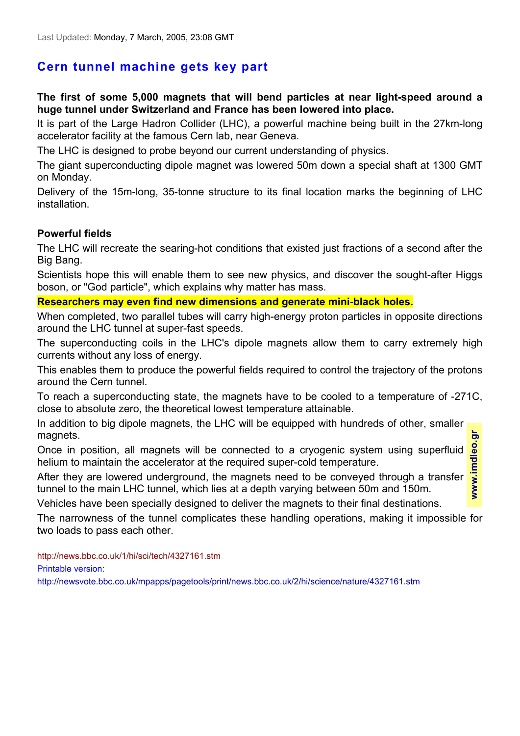# **Cern tunnel machine gets key part**

**The first of some 5,000 magnets that will bend particles at near light-speed around a huge tunnel under Switzerland and France has been lowered into place.**

It is part of the Large Hadron Collider (LHC), a powerful machine being built in the 27km-long accelerator facility at the famous Cern lab, near Geneva.

The LHC is designed to probe beyond our current understanding of physics.

The giant superconducting dipole magnet was lowered 50m down a special shaft at 1300 GMT on Monday.

Delivery of the 15m-long, 35-tonne structure to its final location marks the beginning of LHC installation.

### **Powerful fields**

The LHC will recreate the searing-hot conditions that existed just fractions of a second after the Big Bang.

Scientists hope this will enable them to see new physics, and discover the sought-after Higgs boson, or "God particle", which explains why matter has mass.

#### **Researchers may even find new dimensions and generate mini-black holes.**

When completed, two parallel tubes will carry high-energy proton particles in opposite directions around the LHC tunnel at super-fast speeds.

The superconducting coils in the LHC's dipole magnets allow them to carry extremely high currents without any loss of energy.

This enables them to produce the powerful fields required to control the trajectory of the protons around the Cern tunnel.

To reach a superconducting state, the magnets have to be cooled to a temperature of -271C, close to absolute zero, the theoretical lowest temperature attainable.

In addition to big dipole magnets, the LHC will be equipped with hundreds of other, smaller magnets.

Once in position, all magnets will be connected to a cryogenic system using superfluid helium to maintain the accelerator at the required super-cold temperature.

After they are lowered underground, the magnets need to be conveyed through a transfer tunnel to the main LHC tunnel, which lies at a depth varying between 50m and 150m.

Vehicles have been specially designed to deliver the magnets to their final destinations.

The narrowness of the tunnel complicates these handling operations, making it impossible for two loads to pass each other.

http://news.bbc.co.uk/1/hi/sci/tech/4327161.stm Printable version: http://newsvote.bbc.co.uk/mpapps/pagetools/print/news.bbc.co.uk/2/hi/science/nature/4327161.stm **www.imdleo.gr**   $\frac{1}{9}$ www.imdleo.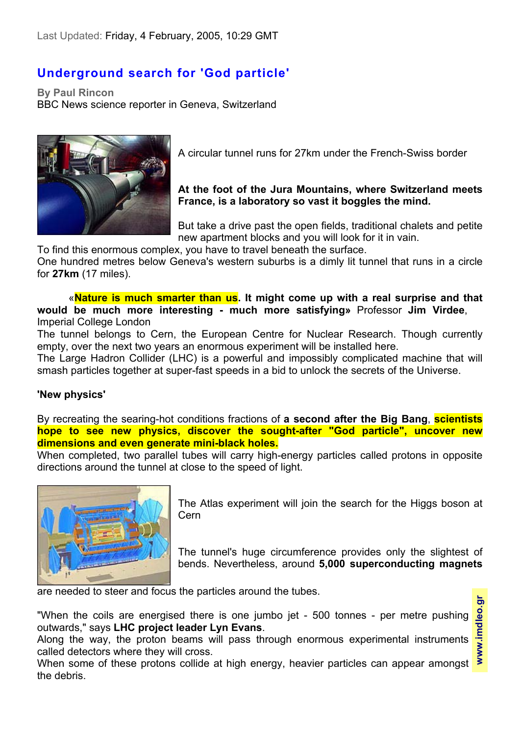# **Underground search for 'God particle'**

**By Paul Rincon**  BBC News science reporter in Geneva, Switzerland



A circular tunnel runs for 27km under the French-Swiss border

# **At the foot of the Jura Mountains, where Switzerland meets France, is a laboratory so vast it boggles the mind.**

But take a drive past the open fields, traditional chalets and petite new apartment blocks and you will look for it in vain.

To find this enormous complex, you have to travel beneath the surface. One hundred metres below Geneva's western suburbs is a dimly lit tunnel that runs in a circle for **27km** (17 miles).

 «**Nature is much smarter than us. It might come up with a real surprise and that would be much more interesting - much more satisfying»** Professor **Jim Virdee**, Imperial College London

The tunnel belongs to Cern, the European Centre for Nuclear Research. Though currently empty, over the next two years an enormous experiment will be installed here.

The Large Hadron Collider (LHC) is a powerful and impossibly complicated machine that will smash particles together at super-fast speeds in a bid to unlock the secrets of the Universe.

## **'New physics'**

By recreating the searing-hot conditions fractions of **a second after the Big Bang**, **scientists hope to see new physics, discover the sought-after "God particle", uncover new dimensions and even generate mini-black holes.** 

When completed, two parallel tubes will carry high-energy particles called protons in opposite directions around the tunnel at close to the speed of light.



The Atlas experiment will join the search for the Higgs boson at Cern

The tunnel's huge circumference provides only the slightest of bends. Nevertheless, around **5,000 superconducting magnets**

are needed to steer and focus the particles around the tubes.

**www.imdleo.gr**  "When the coils are energised there is one jumbo jet - 500 tonnes - per metre pushing outwards," says **LHC project leader Lyn Evans**.

Along the way, the proton beams will pass through enormous experimental instruments called detectors where they will cross.

When some of these protons collide at high energy, heavier particles can appear amongst the debris.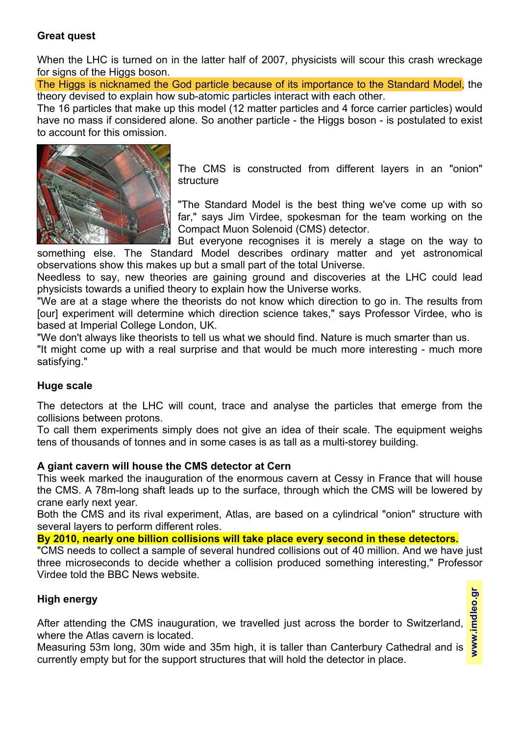#### **Great quest**

When the LHC is turned on in the latter half of 2007, physicists will scour this crash wreckage for signs of the Higgs boson.

The Higgs is nicknamed the God particle because of its importance to the Standard Model, the theory devised to explain how sub-atomic particles interact with each other.

The 16 particles that make up this model (12 matter particles and 4 force carrier particles) would have no mass if considered alone. So another particle - the Higgs boson - is postulated to exist to account for this omission.



The CMS is constructed from different layers in an "onion" structure

"The Standard Model is the best thing we've come up with so far," says Jim Virdee, spokesman for the team working on the Compact Muon Solenoid (CMS) detector.

But everyone recognises it is merely a stage on the way to something else. The Standard Model describes ordinary matter and yet astronomical observations show this makes up but a small part of the total Universe.

Needless to say, new theories are gaining ground and discoveries at the LHC could lead physicists towards a unified theory to explain how the Universe works.

"We are at a stage where the theorists do not know which direction to go in. The results from [our] experiment will determine which direction science takes," says Professor Virdee, who is based at Imperial College London, UK.

"We don't always like theorists to tell us what we should find. Nature is much smarter than us.

"It might come up with a real surprise and that would be much more interesting - much more satisfying."

#### **Huge scale**

The detectors at the LHC will count, trace and analyse the particles that emerge from the collisions between protons.

To call them experiments simply does not give an idea of their scale. The equipment weighs tens of thousands of tonnes and in some cases is as tall as a multi-storey building.

#### **A giant cavern will house the CMS detector at Cern**

This week marked the inauguration of the enormous cavern at Cessy in France that will house the CMS. A 78m-long shaft leads up to the surface, through which the CMS will be lowered by crane early next year.

Both the CMS and its rival experiment, Atlas, are based on a cylindrical "onion" structure with several layers to perform different roles.

**By 2010, nearly one billion collisions will take place every second in these detectors.** 

"CMS needs to collect a sample of several hundred collisions out of 40 million. And we have just three microseconds to decide whether a collision produced something interesting," Professor Virdee told the BBC News website.

## **High energy**

After attending the CMS inauguration, we travelled just across the border to Switzerland, where the Atlas cavern is located.

Measuring 53m long, 30m wide and 35m high, it is taller than Canterbury Cathedral and is currently empty but for the support structures that will hold the detector in place.